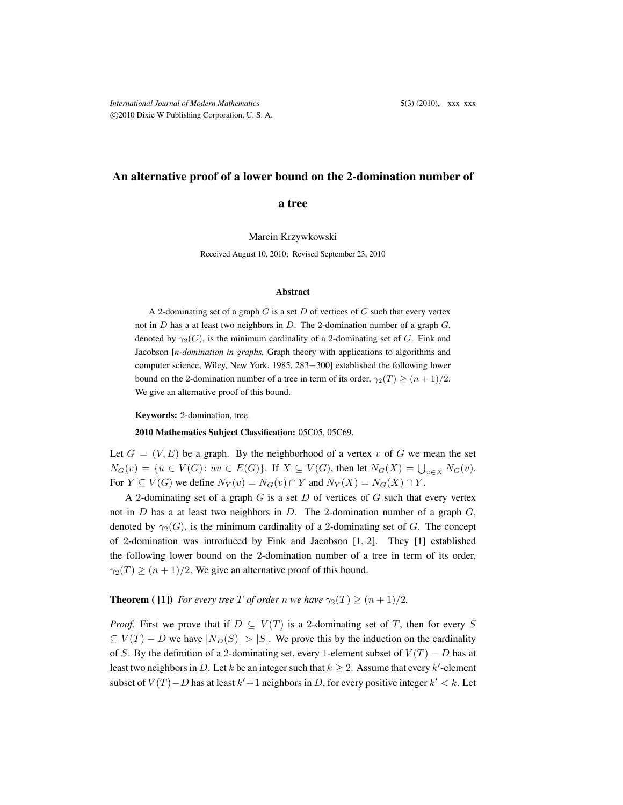## An alternative proof of a lower bound on the 2-domination number of

a tree

Marcin Krzywkowski

Received August 10, 2010; Revised September 23, 2010

## Abstract

A 2-dominating set of a graph  $G$  is a set  $D$  of vertices of  $G$  such that every vertex not in  $D$  has a at least two neighbors in  $D$ . The 2-domination number of a graph  $G$ , denoted by  $\gamma_2(G)$ , is the minimum cardinality of a 2-dominating set of G. Fink and Jacobson [*n-domination in graphs,* Graph theory with applications to algorithms and computer science, Wiley, New York, 1985, 283−300] established the following lower bound on the 2-domination number of a tree in term of its order,  $\gamma_2(T) \geq (n+1)/2$ . We give an alternative proof of this bound.

Keywords: 2-domination, tree.

2010 Mathematics Subject Classification: 05C05, 05C69.

Let  $G = (V, E)$  be a graph. By the neighborhood of a vertex v of G we mean the set  $N_G(v) = \{u \in V(G): uv \in E(G)\}\$ . If  $X \subseteq V(G)$ , then let  $N_G(X) = \bigcup_{v \in X} N_G(v)$ . For  $Y \subseteq V(G)$  we define  $N_Y(v) = N_G(v) \cap Y$  and  $N_Y(X) = N_G(X) \cap Y$ .

A 2-dominating set of a graph  $G$  is a set  $D$  of vertices of  $G$  such that every vertex not in D has a at least two neighbors in D. The 2-domination number of a graph  $G$ , denoted by  $\gamma_2(G)$ , is the minimum cardinality of a 2-dominating set of G. The concept of 2-domination was introduced by Fink and Jacobson [1, 2]. They [1] established the following lower bound on the 2-domination number of a tree in term of its order,  $\gamma_2(T) \ge (n+1)/2$ . We give an alternative proof of this bound.

**Theorem** ([1]) *For every tree* T *of order* n we have  $\gamma_2(T) \geq (n+1)/2$ .

*Proof.* First we prove that if  $D \subseteq V(T)$  is a 2-dominating set of T, then for every S  $\subset V(T) - D$  we have  $|N_D(S)| > |S|$ . We prove this by the induction on the cardinality of S. By the definition of a 2-dominating set, every 1-element subset of  $V(T) - D$  has at least two neighbors in D. Let k be an integer such that  $k \geq 2$ . Assume that every k'-element subset of  $V(T) - D$  has at least  $k' + 1$  neighbors in D, for every positive integer  $k' < k$ . Let